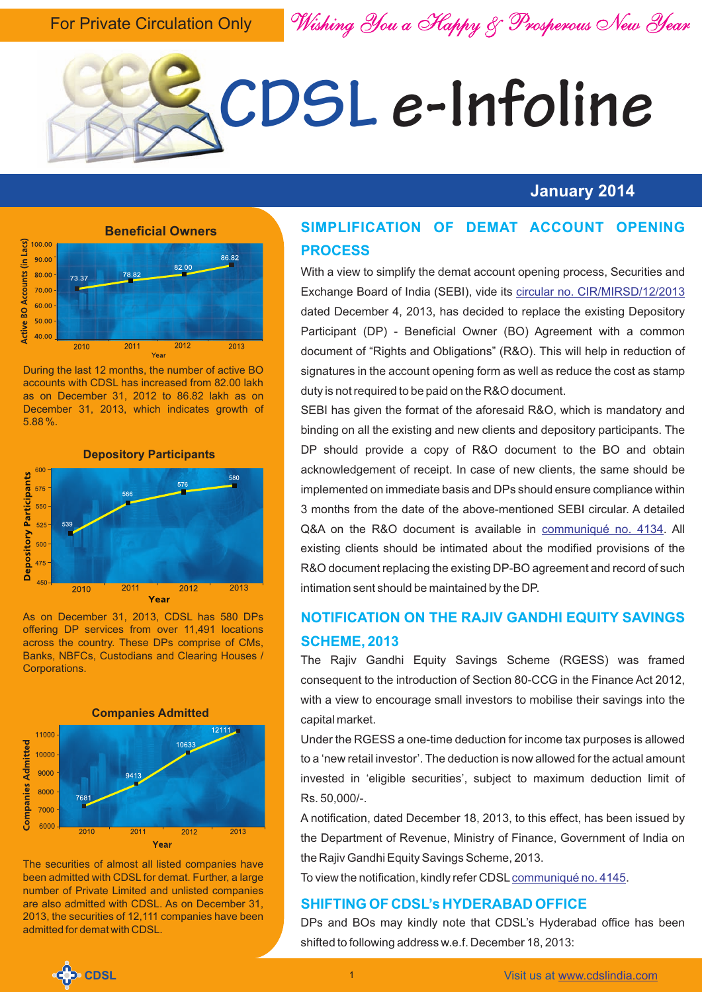For Private Circulation Only

*Wishing You a Happy & Prosperous New Year*



#### **January 2014**



During the last 12 months, the number of active BO accounts with CDSL has increased from 82.00 lakh as on December 31, 2012 to 86.82 lakh as on December 31, 2013, which indicates growth of 5.88 %.



As on December 31, 2013, CDSL has 580 DPs offering DP services from over 11,491 locations across the country. These DPs comprise of CMs, Banks, NBFCs, Custodians and Clearing Houses / Corporations.



The securities of almost all listed companies have been admitted with CDSL for demat. Further, a large number of Private Limited and unlisted companies are also admitted with CDSL. As on December 31, 2013, the securities of 12,111 companies have been admitted for demat with CDSL.

#### **SIMPLIFICATION OF DEMAT ACCOUNT OPENING PROCESS**

With a view to simplify the demat account opening process, Securities and Exchange Board of India (SEBI), vide its [circular no. CIR/MIRSD/12/2013](http://www.cdslindia.com/communiques/dp/DP-4095-SEBI-Circular-Simplification-of-Demat-Account-Opening%20Process.pdf) dated December 4, 2013, has decided to replace the existing Depository Participant (DP) - Beneficial Owner (BO) Agreement with a common document of "Rights and Obligations" (R&O). This will help in reduction of signatures in the account opening form as well as reduce the cost as stamp duty is not required to be paid on the R&O document.

SEBI has given the format of the aforesaid R&O, which is mandatory and binding on all the existing and new clients and depository participants. The DP should provide a copy of R&O document to the BO and obtain acknowledgement of receipt. In case of new clients, the same should be implemented on immediate basis and DPs should ensure compliance within 3 months from the date of the above-mentioned SEBI circular. A detailed Q&A on the R&O document is available in communiqué no. 4134. All existing clients should be intimated about the modified provisions of the R&O document replacing the existing DP-BO agreement and record of such intimation sent should be maintained by the DP.

#### **NOTIFICATION ON THE RAJIV GANDHI EQUITY SAVINGS SCHEME, 2013**

The Rajiv Gandhi Equity Savings Scheme (RGESS) was framed consequent to the introduction of Section 80-CCG in the Finance Act 2012, with a view to encourage small investors to mobilise their savings into the capital market.

Under the RGESS a one-time deduction for income tax purposes is allowed to a 'new retail investor'. The deduction is now allowed for the actual amount invested in 'eligible securities', subject to maximum deduction limit of Rs. 50,000/-.

A notification, dated December 18, 2013, to this effect, has been issued by the Department of Revenue, Ministry of Finance, Government of India on the Rajiv Gandhi Equity Savings Scheme, 2013.

To view the notification, kindly refer CDSL [communiqué no. 4145](http://www.cdslindia.com/communiques/dp/DP-4145-Notification-on-RGESS-2013.pdf).

#### **SHIFTING OF CDSL's HYDERABAD OFFICE**

DPs and BOs may kindly note that CDSL's Hyderabad office has been shifted to following address w.e.f. December 18, 2013:

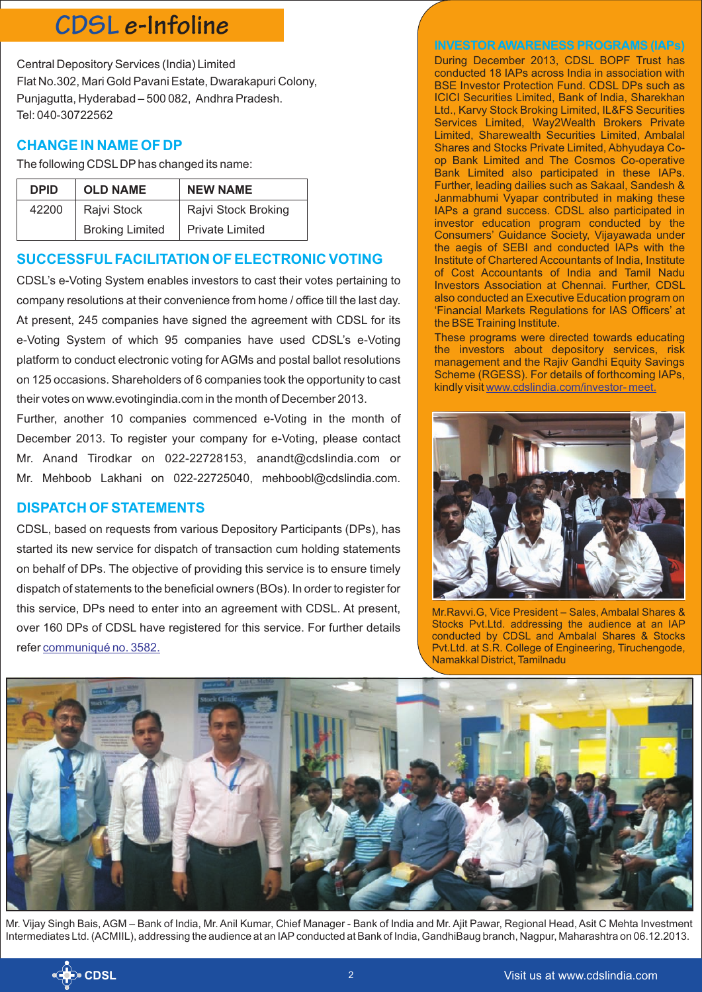### **CDSL e-Infoline**

Central Depository Services (India) Limited Flat No.302, Mari Gold Pavani Estate, Dwarakapuri Colony, Punjagutta, Hyderabad – 500 082, Andhra Pradesh. Tel: 040-30722562

#### **CHANGE IN NAME OF DP**

The following CDSLDPhas changed its name:

| <b>DPID</b> | <b>OLD NAME</b>        | <b>NEW NAME</b>        |
|-------------|------------------------|------------------------|
| 42200       | Rajvi Stock            | Rajvi Stock Broking    |
|             | <b>Broking Limited</b> | <b>Private Limited</b> |

#### **SUCCESSFULFACILITATION OF ELECTRONIC VOTING**

CDSL's e-Voting System enables investors to cast their votes pertaining to company resolutions at their convenience from home / office till the last day. At present, 245 companies have signed the agreement with CDSL for its e-Voting System of which 95 companies have used CDSL's e-Voting platform to conduct electronic voting for AGMs and postal ballot resolutions on 125 occasions. Shareholders of 6 companies took the opportunity to cast their votes on www.evotingindia.com in the month of December 2013.

Further, another 10 companies commenced e-Voting in the month of December 2013. To register your company for e-Voting, please contact Mr. Anand Tirodkar on 022-22728153, anandt@cdslindia.com or Mr. Mehboob Lakhani on 022-22725040, mehboobl@cdslindia.com.

#### **DISPATCH OF STATEMENTS**

CDSL, based on requests from various Depository Participants (DPs), has started its new service for dispatch of transaction cum holding statements on behalf of DPs. The objective of providing this service is to ensure timely dispatch of statements to the beneficial owners (BOs). In order to register for this service, DPs need to enter into an agreement with CDSL. At present, over 160 DPs of CDSL have registered for this service. For further details refer [communiqué no. 3582.](http://www.cdslindia.com/communiques/dp/DP-3582-Dispatch-of-Transaction-and-Holding-Statements-to-BOs.pdf)

#### **INVESTOR AWARENESS PROGRAMS (IAPs)**

During December 2013, CDSL BOPF Trust has conducted 18 IAPs across India in association with BSE Investor Protection Fund. CDSL DPs such as ICICI Securities Limited, Bank of India, Sharekhan Ltd., Karvy Stock Broking Limited, IL&FS Securities Services Limited, Way2Wealth Brokers Private Limited, Sharewealth Securities Limited, Ambalal Shares and Stocks Private Limited, Abhyudaya Coop Bank Limited and The Cosmos Co-operative Bank Limited also participated in these IAPs. Further, leading dailies such as Sakaal, Sandesh & Janmabhumi Vyapar contributed in making these IAPs a grand success. CDSL also participated in investor education program conducted by the Consumers' Guidance Society, Vijayawada under the aegis of SEBI and conducted IAPs with the Institute of Chartered Accountants of India, Institute of Cost Accountants of India and Tamil Nadu Investors Association at Chennai. Further, CDSL also conducted an Executive Education program on 'Financial Markets Regulations for IAS Officers' at the BSE Training Institute.

These programs were directed towards educating the investors about depository services, risk management and the Rajiv Gandhi Equity Savings Scheme (RGESS). For details of forthcoming IAPs, kindly visit [www.cdslindia.com/investor- meet.](http://www.cdslindia.com/investors/investor-meet.jsp)



Mr.Ravvi.G, Vice President – Sales, Ambalal Shares & Stocks Pvt.Ltd. addressing the audience at an IAP conducted by CDSL and Ambalal Shares & Stocks Pvt.Ltd. at S.R. College of Engineering, Tiruchengode, Namakkal District, Tamilnadu



Mr. Vijay Singh Bais, AGM – Bank of India, Mr. Anil Kumar, Chief Manager - Bank of India and Mr. Ajit Pawar, Regional Head, Asit C Mehta Investment Intermediates Ltd. (ACMIIL), addressing the audience at an IAPconducted at Bank of India, GandhiBaug branch, Nagpur, Maharashtra on 06.12.2013.